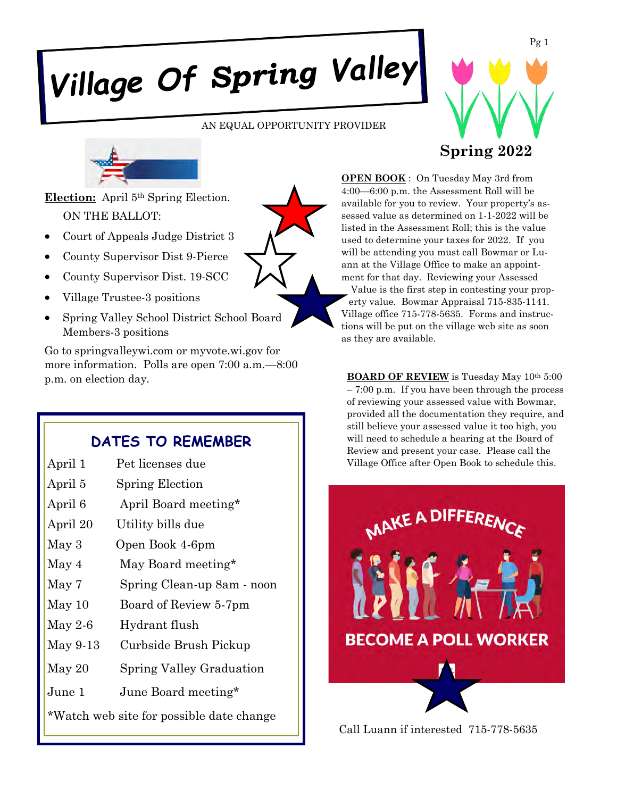# Village Of Spring Valley

AN EQUAL OPPORTUNITY PROVIDER





**Election:** April 5th Spring Election. ON THE BALLOT:

- Court of Appeals Judge District 3
- County Supervisor Dist 9-Pierce
- County Supervisor Dist. 19-SCC
- Village Trustee-3 positions
- Spring Valley School District School Board Members-3 positions

Go to springvalleywi.com or myvote.wi.gov for more information. Polls are open 7:00 a.m.—8:00 p.m. on election day.

# **DATES TO REMEMBER**

| April 1          | Pet licenses due           |
|------------------|----------------------------|
| April 5          | Spring Election            |
| April 6          | April Board meeting*       |
| April 20         | Utility bills due          |
| May <sub>3</sub> | Open Book 4-6pm            |
| May 4            | May Board meeting*         |
| May 7            | Spring Clean-up 8am - noon |
| May 10           | Board of Review 5-7pm      |
| May 2-6          | Hydrant flush              |
| May 9-13         | Curbside Brush Pickup      |
| May 20           | Spring Valley Graduation   |
| June 1           | June Board meeting*        |

\*Watch web site for possible date change

**OPEN BOOK** : On Tuesday May 3rd from 4:00—6:00 p.m. the Assessment Roll will be available for you to review. Your property's assessed value as determined on 1-1-2022 will be listed in the Assessment Roll; this is the value used to determine your taxes for 2022. If you will be attending you must call Bowmar or Luann at the Village Office to make an appointment for that day. Reviewing your Assessed Value is the first step in contesting your property value. Bowmar Appraisal 715-835-1141. Village office 715-778-5635. Forms and instructions will be put on the village web site as soon as they are available.

**BOARD OF REVIEW** is Tuesday May 10<sup>th</sup> 5:00 – 7:00 p.m. If you have been through the process of reviewing your assessed value with Bowmar, provided all the documentation they require, and still believe your assessed value it too high, you will need to schedule a hearing at the Board of Review and present your case. Please call the Village Office after Open Book to schedule this.



Call Luann if interested 715-778-5635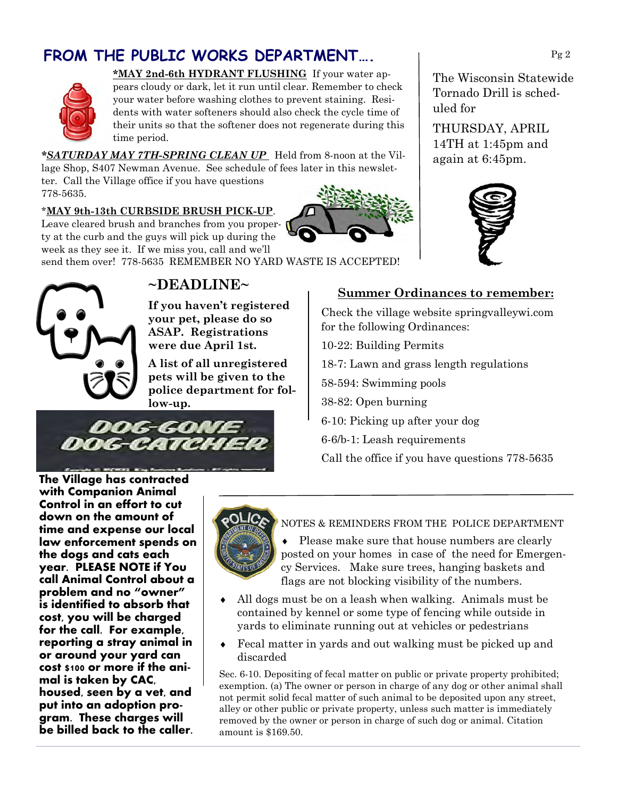# **FROM THE PUBLIC WORKS DEPARTMENT….**



**\*MAY 2nd-6th HYDRANT FLUSHING** If your water appears cloudy or dark, let it run until clear. Remember to check your water before washing clothes to prevent staining. Residents with water softeners should also check the cycle time of their units so that the softener does not regenerate during this time period.

*\*SATURDAY MAY 7TH-SPRING CLEAN UP* Held from 8-noon at the Village Shop, S407 Newman Avenue. See schedule of fees later in this newsletter. Call the Village office if you have questions 778-5635.

#### \***MAY 9th-13th CURBSIDE BRUSH PICK-UP**.

Leave cleared brush and branches from you property at the curb and the guys will pick up during the week as they see it. If we miss you, call and we'll

send them over! 778-5635 REMEMBER NO YARD WASTE IS ACCEPTED!



# **~DEADLINE~**

**If you haven't registered your pet, please do so ASAP. Registrations were due April 1st.** 

**A list of all unregistered pets will be given to the police department for follow-up.** 



**Summer Ordinances to remember:**

Check the village website springvalleywi.com for the following Ordinances:

10-22: Building Permits

18-7: Lawn and grass length regulations

58-594: Swimming pools

38-82: Open burning

6-10: Picking up after your dog

6-6/b-1: Leash requirements

Call the office if you have questions 778-5635

**The Village has contracted with Companion Animal Control in an effort to cut down on the amount of time and expense our local law enforcement spends on the dogs and cats each year. PLEASE NOTE if You call Animal Control about a problem and no "owner" is identified to absorb that cost, you will be charged for the call. For example, reporting a stray animal in or around your yard can cost \$100 or more if the animal is taken by CAC, housed, seen by a vet, and put into an adoption program. These charges will be billed back to the caller.**



I

#### NOTES & REMINDERS FROM THE POLICE DEPARTMENT

• Please make sure that house numbers are clearly posted on your homes in case of the need for Emergency Services. Make sure trees, hanging baskets and flags are not blocking visibility of the numbers.

- All dogs must be on a leash when walking. Animals must be contained by kennel or some type of fencing while outside in yards to eliminate running out at vehicles or pedestrians
- Fecal matter in yards and out walking must be picked up and discarded

Sec. 6-10. Depositing of fecal matter on public or private property prohibited; exemption. (a) The owner or person in charge of any dog or other animal shall not permit solid fecal matter of such animal to be deposited upon any street, alley or other public or private property, unless such matter is immediately removed by the owner or person in charge of such dog or animal. Citation amount is \$169.50.



THURSDAY, APRIL 14TH at 1:45pm and again at 6:45pm.

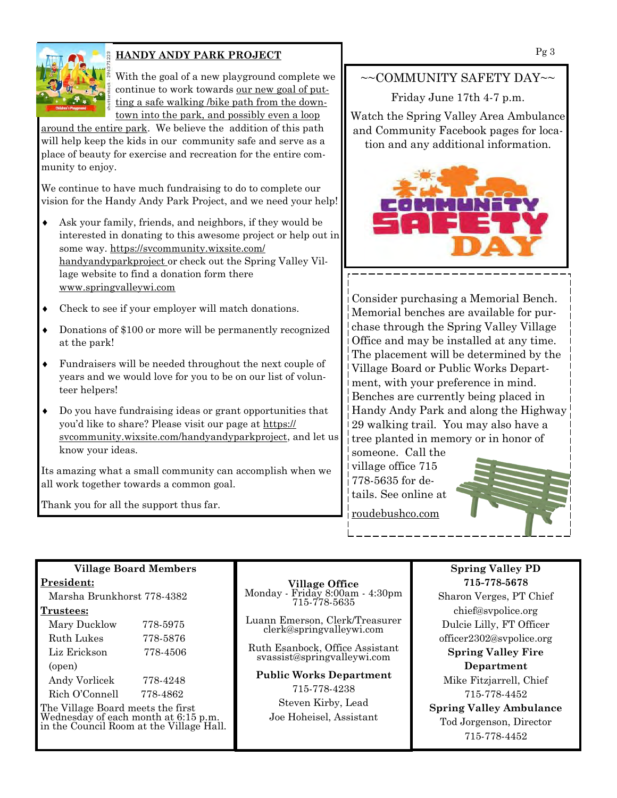

#### **HANDY ANDY PARK PROJECT**

With the goal of a new playground complete we continue to work towards our new goal of putting a safe walking /bike path from the downtown into the park, and possibly even a loop

around the entire park. We believe the addition of this path will help keep the kids in our community safe and serve as a place of beauty for exercise and recreation for the entire community to enjoy.

We continue to have much fundraising to do to complete our vision for the Handy Andy Park Project, and we need your help!

- Ask your family, friends, and neighbors, if they would be interested in donating to this awesome project or help out in some way. https://svcommunity.wixsite.com/ handyandyparkproject or check out the Spring Valley Village website to find a donation form there www.springvalleywi.com
- Check to see if your employer will match donations.
- Donations of \$100 or more will be permanently recognized at the park!
- Fundraisers will be needed throughout the next couple of years and we would love for you to be on our list of volunteer helpers!
- Do you have fundraising ideas or grant opportunities that you'd like to share? Please visit our page at https:// svcommunity.wixsite.com/handyandyparkproject, and let us know your ideas.

Its amazing what a small community can accomplish when we all work together towards a common goal.

Thank you for all the support thus far.

**Village Board Members**

Marsha Brunkhorst 778-4382

 Mary Ducklow 778-5975 Ruth Lukes 778-5876 Liz Erickson 778-4506

 Andy Vorlicek 778-4248 Rich O'Connell 778-4862 The Village Board meets the first Wednesday of each month at 6:15 p.m. in the Council Room at the Village Hall.

**President:**

**Trustees:**

(open)

## ~~COMMUNITY SAFETY DAY~~

Friday June 17th 4-7 p.m.

Watch the Spring Valley Area Ambulance and Community Facebook pages for location and any additional information.



Consider purchasing a Memorial Bench. Memorial benches are available for purchase through the Spring Valley Village Office and may be installed at any time. The placement will be determined by the Village Board or Public Works Department, with your preference in mind. Benches are currently being placed in Handy Andy Park and along the Highway 29 walking trail. You may also have a tree planted in memory or in honor of

someone. Call the village office 715 778-5635 for details. See online at

roudebushco.com



**Village Office**

Monday - Friday 8:00am - 4:30pm 715-778-5635

Luann Emerson, Clerk/Treasurer clerk@springvalleywi.com

Ruth Esanbock, Office Assistant svassist@springvalleywi.com

**Public Works Department** 715-778-4238 Steven Kirby, Lead Joe Hoheisel, Assistant

#### **Spring Valley PD 715-778-5678**

Sharon Verges, PT Chief chief@svpolice.org Dulcie Lilly, FT Officer officer2302@svpolice.org

**Spring Valley Fire Department**

Mike Fitzjarrell, Chief 715-778-4452

**Spring Valley Ambulance** Tod Jorgenson, Director 715-778-4452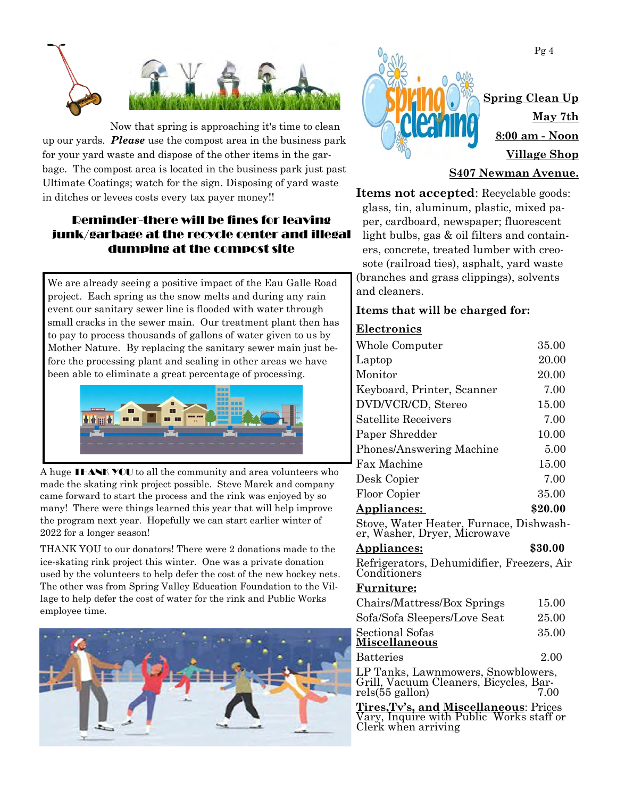

Now that spring is approaching it's time to clean up our yards. *Please* use the compost area in the business park for your yard waste and dispose of the other items in the garbage. The compost area is located in the business park just past Ultimate Coatings; watch for the sign. Disposing of yard waste in ditches or levees costs every tax payer money!!

### Reminder-there will be fines for leaving junk/garbage at the recycle center and illegal dumping at the compost site

We are already seeing a positive impact of the Eau Galle Road project. Each spring as the snow melts and during any rain event our sanitary sewer line is flooded with water through small cracks in the sewer main. Our treatment plant then has to pay to process thousands of gallons of water given to us by Mother Nature. By replacing the sanitary sewer main just before the processing plant and sealing in other areas we have been able to eliminate a great percentage of processing.



A huge THANK YOU to all the community and area volunteers who made the skating rink project possible. Steve Marek and company came forward to start the process and the rink was enjoyed by so many! There were things learned this year that will help improve the program next year. Hopefully we can start earlier winter of 2022 for a longer season!

THANK YOU to our donators! There were 2 donations made to the ice-skating rink project this winter. One was a private donation used by the volunteers to help defer the cost of the new hockey nets. The other was from Spring Valley Education Foundation to the Village to help defer the cost of water for the rink and Public Works employee time.





#### **S407 Newman Avenue.**

**Items not accepted**: Recyclable goods: glass, tin, aluminum, plastic, mixed paper, cardboard, newspaper; fluorescent light bulbs, gas & oil filters and containers, concrete, treated lumber with creosote (railroad ties), asphalt, yard waste (branches and grass clippings), solvents and cleaners.

#### **Items that will be charged for:**

#### **Electronics**

| Whole Computer                          | 35.00   |
|-----------------------------------------|---------|
| Laptop                                  | 20.00   |
| Monitor                                 | 20.00   |
| Keyboard, Printer, Scanner              | 7.00    |
| DVD/VCR/CD, Stereo                      | 15.00   |
| Satellite Receivers                     | 7.00    |
| Paper Shredder                          | 10.00   |
| Phones/Answering Machine                | 5.00    |
| <b>Fax Machine</b>                      | 15.00   |
| Desk Copier                             | 7.00    |
| Floor Copier                            | 35.00   |
| <b>Appliances:</b>                      | \$20.00 |
| Stove, Water Heater, Furnace, Dishwash- |         |

Stove, Water Heater, Furnace, Dishwasher, Washer, Dryer, Microwave

| <b>Appliances:</b> |                                         | \$30.00 |  |  |
|--------------------|-----------------------------------------|---------|--|--|
|                    | Refrigarators Debumidifier Freezers Air |         |  |  |

Refrigerators, Dehumidifier, Freezers, Air Conditioners

#### **Furniture:**

| Chairs/Mattress/Box Springs  | 15.00 |
|------------------------------|-------|
| Sofa/Sofa Sleepers/Love Seat | 25.00 |
| Sectional Sofas              | 35.00 |
| Miscellaneous                |       |

Batteries 2.00

LP Tanks, Lawnmowers, Snowblowers, Grill, Vacuum Cleaners, Bicycles, Barrels $(55$  gallon)

**Tires,Tv's, and Miscellaneous**: Prices Vary, Inquire with Public Works staff or Clerk when arriving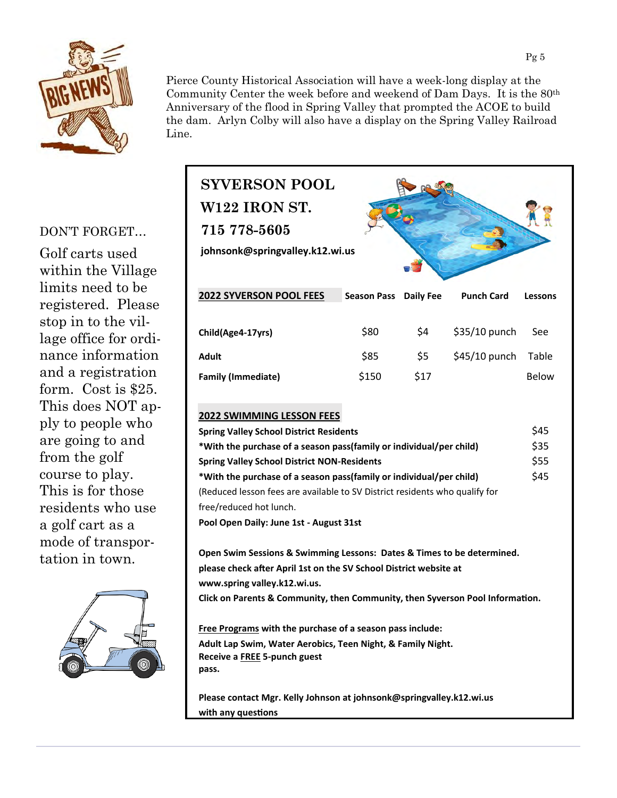

Pierce County Historical Association will have a week-long display at the Community Center the week before and weekend of Dam Days. It is the 80th Anniversary of the flood in Spring Valley that prompted the ACOE to build the dam. Arlyn Colby will also have a display on the Spring Valley Railroad Line.

#### DON'T FORGET…

Golf carts used within the Village limits need to be registered. Please stop in to the village office for ordinance information and a registration form. Cost is \$25. This does NOT apply to people who are going to and from the golf course to play. This is for those residents who use a golf cart as a mode of transportation in town.



| ine.<br><b>SYVERSON POOL</b><br><b>W122 IRON ST.</b><br>715 778-5605<br>johnsonk@springvalley.k12.wi.us |                    |           |                   |         |  |  |
|---------------------------------------------------------------------------------------------------------|--------------------|-----------|-------------------|---------|--|--|
| 2022 SYVERSON POOL FEES                                                                                 | <b>Season Pass</b> | Daily Fee | <b>Punch Card</b> | Lessons |  |  |
| Child(Age4-17yrs)                                                                                       | \$80               | \$4       | \$35/10 punch     | See     |  |  |
| <b>Adult</b>                                                                                            | \$85               | \$5       | \$45/10 punch     | Table   |  |  |
|                                                                                                         |                    |           |                   |         |  |  |

## **2022 SWIMMING LESSON FEES Spring Valley School District Residents**  $\frac{1}{2}$  \$45 **\*With the purchase of a season pass(family or individual/per child)** \$35 **Spring Valley School District NON-Residents** \$55 **\*With the purchase of a season pass(family or individual/per child)** \$45 (Reduced lesson fees are available to SV District residents who qualify for free/reduced hot lunch. **Pool Open Daily: June 1st - August 31st**

**Open Swim Sessions & Swimming Lessons: Dates & Times to be determined. please check after April 1st on the SV School District website at www.spring valley.k12.wi.us.**

**Click on Parents & Community, then Community, then Syverson Pool Information.**

**Free Programs with the purchase of a season pass include: Adult Lap Swim, Water Aerobics, Teen Night, & Family Night. Receive a FREE 5-punch guest pass.**

**Please contact Mgr. Kelly Johnson at johnsonk@springvalley.k12.wi.us with any questions**